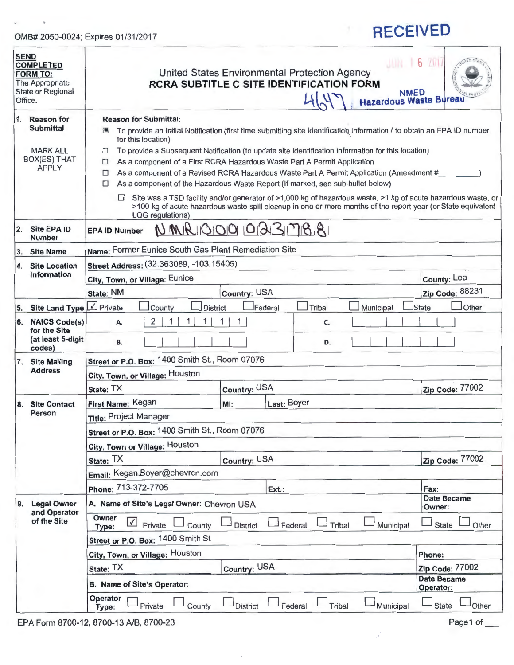### OMB# 2050-0024; Expires 01/31/2017

 $\sim$   $\gamma_{\rm f}$ 

 $y$ 

# **RECEIVED**

| <b>SEND</b><br><b>COMPLETED</b><br><b>FORM TO:</b><br>The Appropriate<br><b>State or Regional</b><br>Office. |                                                                                                                                                                                                                                                                                                                                                                                                       | 6 20<br>United States Environmental Protection Agency<br><b>RCRA SUBTITLE C SITE IDENTIFICATION FORM</b><br><b>NMED</b><br>71U<br><b>Hazardous Waste Bureau</b> |                                 |  |  |
|--------------------------------------------------------------------------------------------------------------|-------------------------------------------------------------------------------------------------------------------------------------------------------------------------------------------------------------------------------------------------------------------------------------------------------------------------------------------------------------------------------------------------------|-----------------------------------------------------------------------------------------------------------------------------------------------------------------|---------------------------------|--|--|
| $\overline{1}$ .<br><b>Reason for</b><br><b>Submittal</b>                                                    | <b>Reason for Submittal:</b><br>□ To provide an Initial Notification (first time submitting site identification information / to obtain an EPA ID number                                                                                                                                                                                                                                              |                                                                                                                                                                 |                                 |  |  |
| <b>MARK ALL</b><br><b>BOX(ES) THAT</b><br><b>APPLY</b>                                                       | for this location)<br>To provide a Subsequent Notification (to update site identification information for this location)<br>□<br>As a component of a First RCRA Hazardous Waste Part A Permit Application<br>◻<br>As a component of a Revised RCRA Hazardous Waste Part A Permit Application (Amendment #<br>□<br>As a component of the Hazardous Waste Report (If marked, see sub-bullet below)<br>□ |                                                                                                                                                                 |                                 |  |  |
|                                                                                                              | Site was a TSD facility and/or generator of >1,000 kg of hazardous waste, >1 kg of acute hazardous waste, or<br>$\Box$<br>>100 kg of acute hazardous waste spill cleanup in one or more months of the report year (or State equivalent<br>LQG regulations)                                                                                                                                            |                                                                                                                                                                 |                                 |  |  |
| $\overline{2}$ .<br><b>Site EPA ID</b><br><b>Number</b>                                                      | <b>EPA ID Number</b>                                                                                                                                                                                                                                                                                                                                                                                  | NMRIOOO 0231718181                                                                                                                                              |                                 |  |  |
| 3.<br><b>Site Name</b>                                                                                       | Name: Former Eunice South Gas Plant Remediation Site                                                                                                                                                                                                                                                                                                                                                  |                                                                                                                                                                 |                                 |  |  |
| 4.<br><b>Site Location</b>                                                                                   | Street Address: (32.363089, -103.15405)                                                                                                                                                                                                                                                                                                                                                               |                                                                                                                                                                 |                                 |  |  |
| Information                                                                                                  | City, Town, or Village: Eunice                                                                                                                                                                                                                                                                                                                                                                        |                                                                                                                                                                 | County: Lea                     |  |  |
|                                                                                                              | State: NM                                                                                                                                                                                                                                                                                                                                                                                             | <b>Country: USA</b>                                                                                                                                             | Zip Code: 88231                 |  |  |
| Site Land Type V Private<br>5.                                                                               | County<br><b>District</b>                                                                                                                                                                                                                                                                                                                                                                             | Municipal<br>Federal<br>Tribal                                                                                                                                  | <b>State</b><br>Other           |  |  |
| 6. NAICS Code(s)<br>for the Site                                                                             | 2<br>А.                                                                                                                                                                                                                                                                                                                                                                                               | C.                                                                                                                                                              |                                 |  |  |
| (at least 5-digit<br>codes)                                                                                  | В.                                                                                                                                                                                                                                                                                                                                                                                                    | D.                                                                                                                                                              |                                 |  |  |
| 7. Site Mailing<br><b>Address</b>                                                                            | Street or P.O. Box: 1400 Smith St., Room 07076                                                                                                                                                                                                                                                                                                                                                        |                                                                                                                                                                 |                                 |  |  |
|                                                                                                              | City, Town, or Village: Houston                                                                                                                                                                                                                                                                                                                                                                       |                                                                                                                                                                 |                                 |  |  |
|                                                                                                              | State: TX                                                                                                                                                                                                                                                                                                                                                                                             | Country: USA                                                                                                                                                    | Zip Code: 77002                 |  |  |
| <b>Site Contact</b><br>8.<br>Person                                                                          | First Name: Kegan                                                                                                                                                                                                                                                                                                                                                                                     | Last: Boyer<br>MI:                                                                                                                                              |                                 |  |  |
|                                                                                                              | Title: Project Manager                                                                                                                                                                                                                                                                                                                                                                                |                                                                                                                                                                 |                                 |  |  |
|                                                                                                              | Street or P.O. Box: 1400 Smith St., Room 07076                                                                                                                                                                                                                                                                                                                                                        |                                                                                                                                                                 |                                 |  |  |
|                                                                                                              | City, Town or Village: Houston                                                                                                                                                                                                                                                                                                                                                                        |                                                                                                                                                                 |                                 |  |  |
|                                                                                                              | State: TX                                                                                                                                                                                                                                                                                                                                                                                             | Country: USA                                                                                                                                                    | Zip Code: 77002                 |  |  |
|                                                                                                              | Email: Kegan.Boyer@chevron.com                                                                                                                                                                                                                                                                                                                                                                        |                                                                                                                                                                 |                                 |  |  |
|                                                                                                              | Phone: 713-372-7705                                                                                                                                                                                                                                                                                                                                                                                   | Ext.:                                                                                                                                                           | Fax:<br>Date Became             |  |  |
| <b>Legal Owner</b><br>9.<br>and Operator<br>of the Site                                                      | A. Name of Site's Legal Owner: Chevron USA                                                                                                                                                                                                                                                                                                                                                            |                                                                                                                                                                 | Owner:                          |  |  |
|                                                                                                              | Owner<br>$\vee$<br>Private<br>County<br>Type:                                                                                                                                                                                                                                                                                                                                                         | <b>District</b><br>Federal<br>Tribal<br>Municipal                                                                                                               | Other<br><b>State</b>           |  |  |
|                                                                                                              | Street or P.O. Box: 1400 Smith St                                                                                                                                                                                                                                                                                                                                                                     |                                                                                                                                                                 |                                 |  |  |
|                                                                                                              | City, Town, or Village: Houston                                                                                                                                                                                                                                                                                                                                                                       |                                                                                                                                                                 | Phone:                          |  |  |
|                                                                                                              | State: TX                                                                                                                                                                                                                                                                                                                                                                                             | Country: USA                                                                                                                                                    | Zip Code: 77002                 |  |  |
|                                                                                                              | B. Name of Site's Operator:                                                                                                                                                                                                                                                                                                                                                                           |                                                                                                                                                                 | <b>Date Became</b><br>Operator: |  |  |
|                                                                                                              | Operator<br>Private<br>County<br>Type:                                                                                                                                                                                                                                                                                                                                                                | <b>District</b><br>Federal<br>Tribal<br>Municipal                                                                                                               | Other<br><b>State</b>           |  |  |

G.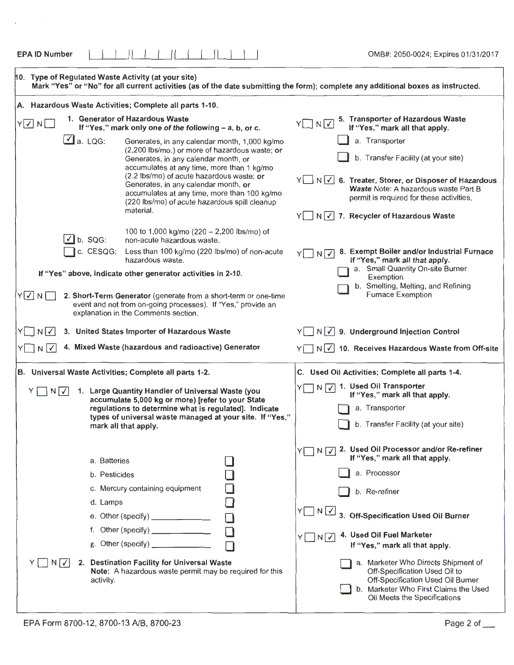| 10. Type of Regulated Waste Activity (at your site)<br>Mark "Yes" or "No" for all current activities (as of the date submitting the form); complete any additional boxes as instructed.                                                                                                                                                                                                                    |                                                                                                                                                                                                                                                                                                                                                                                                                              |  |  |  |  |
|------------------------------------------------------------------------------------------------------------------------------------------------------------------------------------------------------------------------------------------------------------------------------------------------------------------------------------------------------------------------------------------------------------|------------------------------------------------------------------------------------------------------------------------------------------------------------------------------------------------------------------------------------------------------------------------------------------------------------------------------------------------------------------------------------------------------------------------------|--|--|--|--|
| A. Hazardous Waste Activities; Complete all parts 1-10.                                                                                                                                                                                                                                                                                                                                                    |                                                                                                                                                                                                                                                                                                                                                                                                                              |  |  |  |  |
| 1. Generator of Hazardous Waste<br>$Y$ $\vee$ N<br>If "Yes," mark only one of the following - a, b, or c.                                                                                                                                                                                                                                                                                                  | 5. Transporter of Hazardous Waste<br>$Y \Box N \Box$<br>If "Yes," mark all that apply.                                                                                                                                                                                                                                                                                                                                       |  |  |  |  |
| $\Box$ a. LQG:<br>Generates, in any calendar month, 1,000 kg/mo<br>(2,200 lbs/mo.) or more of hazardous waste; or<br>Generates, in any calendar month, or<br>accumulates at any time, more than 1 kg/mo<br>(2.2 lbs/mo) of acute hazardous waste; or<br>Generates, in any calendar month, or<br>accumulates at any time, more than 100 kg/mo<br>(220 lbs/mo) of acute hazardous spill cleanup<br>material. | a. Transporter<br>b. Transfer Facility (at your site)<br>Y N V 6. Treater, Storer, or Disposer of Hazar Hous<br>Waste Note: A hazardous waste Part B<br>permit is required for these activities.<br>$N(\overline{V})$ 7. Recycler of Hazardous Waste                                                                                                                                                                         |  |  |  |  |
| 100 to 1,000 kg/mo (220 - 2,200 lbs/mo) of<br>b. SQG:<br>non-acute hazardous waste.<br>c. CESQG:<br>Less than 100 kg/mo (220 lbs/mo) of non-acute<br>hazardous waste.<br>If "Yes" above, indicate other generator activities in 2-10.                                                                                                                                                                      | 8. Exempt Boiler and/or Industrial Furnace<br>N <sup>1</sup><br>If "Yes," mark all that apply.<br>a. Small Quartity On-site Burner                                                                                                                                                                                                                                                                                           |  |  |  |  |
| $Y$ $\Box$ N $\Box$<br>2. Short-Term Generator (generate from a short-term or one-time<br>event and not from on-going processes). If "Yes," provide an<br>explanation in the Comments section.                                                                                                                                                                                                             | Exemption<br>b. Smelting, Melting, and Refining<br><b>Furnace Exemption</b>                                                                                                                                                                                                                                                                                                                                                  |  |  |  |  |
| N <sub>1</sub><br>3. United States Importer of Hazardous Waste                                                                                                                                                                                                                                                                                                                                             | 9. Underground Injection Control<br>N                                                                                                                                                                                                                                                                                                                                                                                        |  |  |  |  |
| 4. Mixed Waste (hazardous and radioactive) Generator<br>$N\sqrt{2}$                                                                                                                                                                                                                                                                                                                                        | $\Box$ N $\boxed{\checkmark}$ 10. Receives Hazardous Waste from Off-site                                                                                                                                                                                                                                                                                                                                                     |  |  |  |  |
| B. Universal Waste Activities; Complete all parts 1-2.                                                                                                                                                                                                                                                                                                                                                     | C. Used Oil Activities; Complete all parts 1-4.                                                                                                                                                                                                                                                                                                                                                                              |  |  |  |  |
| 1. Large Quantity Handler of Universal Waste (you<br>Y     N   V  <br>accumulate 5,000 kg or more) [refer to your State<br>regulations to determine what is regulated]. Indicate<br>types of universal waste managed at your site. If "Yes,"<br>mark all that apply.                                                                                                                                       | N V 1. Used Oil Transporter<br>If "Yes," mark all that apply.<br>a. Transporter<br>b. Transfer Facility (at your site)                                                                                                                                                                                                                                                                                                       |  |  |  |  |
| a. Batteries<br>b. Pesticides<br>c. Mercury containing equipment<br>d. Lamps<br>e. Other (specify) _______________<br>f. Other (specify) ______________<br>2. Destination Facility for Universal Waste<br>$N[\sqrt{ }]$<br>Note: A hazardous waste permit may be required for this<br>activity.                                                                                                            | 2. Used Oil Processor and/or Re-refiner<br>Y $\Box$<br>N <sub>1</sub><br>If "Yes," mark all that apply.<br>a. Processor<br>b. Re-refiner<br>$Y \cap N$<br>3. Off-Specification Used Oil Burner<br>4. Used (Dil Fuel Marketer<br>Y□N刁<br>If "Yes," mark all that apply.<br>a. Marketer Who Directs Shipment of<br>Off-Specification Used Oil to<br>Off-Specification Used Oil Burner<br>b. Marketer Who First Claims the Used |  |  |  |  |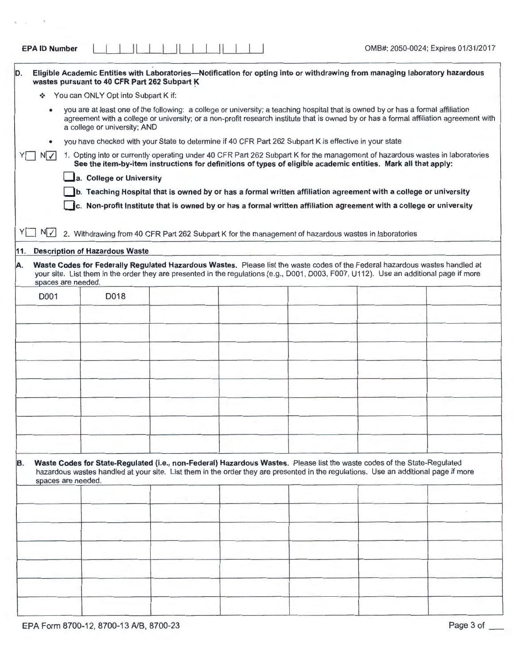٦

| <b>EPA ID Number</b> |  |  |  |  |  |  |
|----------------------|--|--|--|--|--|--|
|----------------------|--|--|--|--|--|--|

 $\tau$ 

 $\eta$ 

| D.                       | wastes pursuant to 40 CFR Part 262 Subpart K                                                          |  | Eligible Academic Entities with Laboratories—Notification for opting into or withdrawing from managing laboratory hazardous                                                                                                                                            |                                                                                                                                        |
|--------------------------|-------------------------------------------------------------------------------------------------------|--|------------------------------------------------------------------------------------------------------------------------------------------------------------------------------------------------------------------------------------------------------------------------|----------------------------------------------------------------------------------------------------------------------------------------|
|                          | You can ONLY Opt into Subpart K if:                                                                   |  |                                                                                                                                                                                                                                                                        |                                                                                                                                        |
|                          | a college or university; AND                                                                          |  | you are at least one of the following: a college or university; a teaching hospital that is owned by or has a formal affiliation                                                                                                                                       | agreement with a college or university; or a non-profit research institute that is owned by or has a formal affiliation agreement with |
|                          | you have checked with your State to determine if 40 CFR Part 262 Subpart K is effective in your state |  |                                                                                                                                                                                                                                                                        |                                                                                                                                        |
| N                        |                                                                                                       |  | See the item-by-item instructions for definitions of types of eligible academic entities. Mark all that apply:                                                                                                                                                         | 1. Opting into or currently operating under 40 CFR Part 262 Subpart K for the management of hazardous wastes in laboratories           |
|                          | a. College or University                                                                              |  |                                                                                                                                                                                                                                                                        |                                                                                                                                        |
|                          |                                                                                                       |  | b. Teaching Hospital that is owned by or has a formal written affiliation agreement with a college or university                                                                                                                                                       |                                                                                                                                        |
|                          |                                                                                                       |  | c. Non-profit Institute that is owned by or has a formal written affiliation agreement with a college or university                                                                                                                                                    |                                                                                                                                        |
|                          |                                                                                                       |  |                                                                                                                                                                                                                                                                        |                                                                                                                                        |
| YI I<br>$N \swarrow$     |                                                                                                       |  | 2. Withdrawing from 40 CFR Part 262 Subpart K for the management of hazardous wastes in laboratories                                                                                                                                                                   |                                                                                                                                        |
|                          | 11. Description of Hazardous Waste                                                                    |  |                                                                                                                                                                                                                                                                        |                                                                                                                                        |
| A.<br>spaces are needed. |                                                                                                       |  | Waste Codes for Federally Regulated Hazardous Wastes. Please list the waste codes of the Federal hazardous wastes handled at<br>your site. List them in the order they are presented in the regulations (e.g., D001, D003, F007, U112). Use an additional page if more |                                                                                                                                        |
| D001                     | D018                                                                                                  |  |                                                                                                                                                                                                                                                                        |                                                                                                                                        |
|                          |                                                                                                       |  |                                                                                                                                                                                                                                                                        |                                                                                                                                        |
|                          |                                                                                                       |  |                                                                                                                                                                                                                                                                        |                                                                                                                                        |
|                          |                                                                                                       |  |                                                                                                                                                                                                                                                                        |                                                                                                                                        |
|                          |                                                                                                       |  |                                                                                                                                                                                                                                                                        |                                                                                                                                        |
|                          |                                                                                                       |  |                                                                                                                                                                                                                                                                        |                                                                                                                                        |
|                          |                                                                                                       |  |                                                                                                                                                                                                                                                                        |                                                                                                                                        |
|                          |                                                                                                       |  |                                                                                                                                                                                                                                                                        |                                                                                                                                        |
|                          |                                                                                                       |  |                                                                                                                                                                                                                                                                        |                                                                                                                                        |
|                          |                                                                                                       |  |                                                                                                                                                                                                                                                                        |                                                                                                                                        |
|                          |                                                                                                       |  |                                                                                                                                                                                                                                                                        |                                                                                                                                        |
|                          |                                                                                                       |  |                                                                                                                                                                                                                                                                        |                                                                                                                                        |
| B.<br>spaces are needed. |                                                                                                       |  | Waste Codes for State-Regulated (i.e., non-Federal) Hazardous Wastes. Please list the waste codes of the State-Regulated<br>hazardous wastes handled at your site. List them in the order they are presented in the regulations. Use an additional page if more        |                                                                                                                                        |
|                          |                                                                                                       |  |                                                                                                                                                                                                                                                                        |                                                                                                                                        |
|                          |                                                                                                       |  |                                                                                                                                                                                                                                                                        |                                                                                                                                        |
|                          |                                                                                                       |  |                                                                                                                                                                                                                                                                        |                                                                                                                                        |
|                          |                                                                                                       |  |                                                                                                                                                                                                                                                                        |                                                                                                                                        |
|                          |                                                                                                       |  |                                                                                                                                                                                                                                                                        |                                                                                                                                        |
|                          |                                                                                                       |  |                                                                                                                                                                                                                                                                        |                                                                                                                                        |
|                          |                                                                                                       |  |                                                                                                                                                                                                                                                                        |                                                                                                                                        |
|                          |                                                                                                       |  |                                                                                                                                                                                                                                                                        |                                                                                                                                        |
|                          |                                                                                                       |  |                                                                                                                                                                                                                                                                        |                                                                                                                                        |
|                          |                                                                                                       |  |                                                                                                                                                                                                                                                                        |                                                                                                                                        |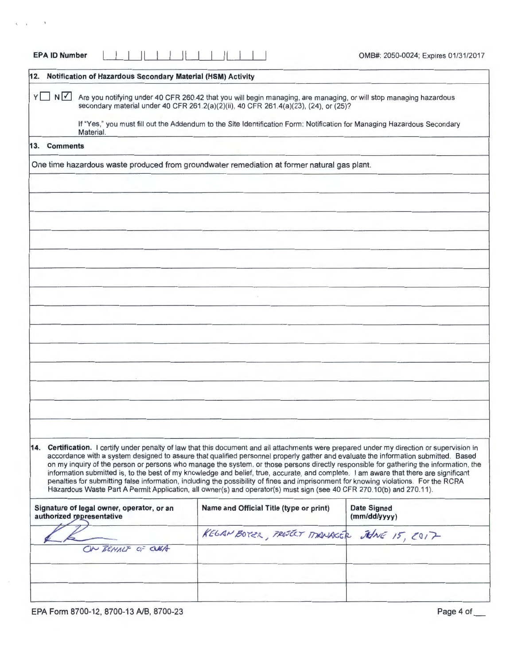| Are you notifying under 40 CFR 260.42 that you will begin managing, are managing, or will stop managing hazardous<br>secondary material under 40 CFR 261.2(a)(2)(ii), 40 CFR 261.4(a)(23), (24), or (25)?                                                                                                                                                                                                                                                                                                                                                                                                                                                                                                                                                                                                                            |                                                                 |
|--------------------------------------------------------------------------------------------------------------------------------------------------------------------------------------------------------------------------------------------------------------------------------------------------------------------------------------------------------------------------------------------------------------------------------------------------------------------------------------------------------------------------------------------------------------------------------------------------------------------------------------------------------------------------------------------------------------------------------------------------------------------------------------------------------------------------------------|-----------------------------------------------------------------|
| If "Yes," you must fill out the Addendum to the Site Identification Form: Notification for Managing Hazardous Secondary                                                                                                                                                                                                                                                                                                                                                                                                                                                                                                                                                                                                                                                                                                              |                                                                 |
|                                                                                                                                                                                                                                                                                                                                                                                                                                                                                                                                                                                                                                                                                                                                                                                                                                      |                                                                 |
| One time hazardous waste produced from groundwater remediation at former natural gas plant.                                                                                                                                                                                                                                                                                                                                                                                                                                                                                                                                                                                                                                                                                                                                          |                                                                 |
|                                                                                                                                                                                                                                                                                                                                                                                                                                                                                                                                                                                                                                                                                                                                                                                                                                      |                                                                 |
|                                                                                                                                                                                                                                                                                                                                                                                                                                                                                                                                                                                                                                                                                                                                                                                                                                      |                                                                 |
|                                                                                                                                                                                                                                                                                                                                                                                                                                                                                                                                                                                                                                                                                                                                                                                                                                      |                                                                 |
|                                                                                                                                                                                                                                                                                                                                                                                                                                                                                                                                                                                                                                                                                                                                                                                                                                      |                                                                 |
|                                                                                                                                                                                                                                                                                                                                                                                                                                                                                                                                                                                                                                                                                                                                                                                                                                      |                                                                 |
|                                                                                                                                                                                                                                                                                                                                                                                                                                                                                                                                                                                                                                                                                                                                                                                                                                      |                                                                 |
|                                                                                                                                                                                                                                                                                                                                                                                                                                                                                                                                                                                                                                                                                                                                                                                                                                      |                                                                 |
|                                                                                                                                                                                                                                                                                                                                                                                                                                                                                                                                                                                                                                                                                                                                                                                                                                      |                                                                 |
|                                                                                                                                                                                                                                                                                                                                                                                                                                                                                                                                                                                                                                                                                                                                                                                                                                      |                                                                 |
|                                                                                                                                                                                                                                                                                                                                                                                                                                                                                                                                                                                                                                                                                                                                                                                                                                      |                                                                 |
|                                                                                                                                                                                                                                                                                                                                                                                                                                                                                                                                                                                                                                                                                                                                                                                                                                      |                                                                 |
|                                                                                                                                                                                                                                                                                                                                                                                                                                                                                                                                                                                                                                                                                                                                                                                                                                      |                                                                 |
|                                                                                                                                                                                                                                                                                                                                                                                                                                                                                                                                                                                                                                                                                                                                                                                                                                      |                                                                 |
|                                                                                                                                                                                                                                                                                                                                                                                                                                                                                                                                                                                                                                                                                                                                                                                                                                      |                                                                 |
|                                                                                                                                                                                                                                                                                                                                                                                                                                                                                                                                                                                                                                                                                                                                                                                                                                      |                                                                 |
|                                                                                                                                                                                                                                                                                                                                                                                                                                                                                                                                                                                                                                                                                                                                                                                                                                      |                                                                 |
| 14. Certification. I certify under penalty of law that this document and all attachments were prepared under my direction or supervision in<br>accordance with a system designed to assure that qualified personnel properly gather and evaluate the information submitted. Based<br>on my inquiry of the person or persons who manage the system, or those persons directly responsible for gathering the information, the<br>information submitted is, to the best of my knowledge and belief, true, accurate, and complete. I am aware that there are significant<br>penalties for submitting false information, including the possibility of fines and imprisonment for knowing violations. For the RCRA<br>Hazardous Waste Part A Permit Application, all owner(s) and operator(s) must sign (see 40 CFR 270.10(b) and 270.11). |                                                                 |
| Name and Official Title (type or print)                                                                                                                                                                                                                                                                                                                                                                                                                                                                                                                                                                                                                                                                                                                                                                                              | <b>Date Signed</b><br>(mm/dd/yyyy)                              |
| KELAN BOTER, PROJECT MANAGER JUNE 15, 2017                                                                                                                                                                                                                                                                                                                                                                                                                                                                                                                                                                                                                                                                                                                                                                                           |                                                                 |
|                                                                                                                                                                                                                                                                                                                                                                                                                                                                                                                                                                                                                                                                                                                                                                                                                                      |                                                                 |
|                                                                                                                                                                                                                                                                                                                                                                                                                                                                                                                                                                                                                                                                                                                                                                                                                                      |                                                                 |
|                                                                                                                                                                                                                                                                                                                                                                                                                                                                                                                                                                                                                                                                                                                                                                                                                                      |                                                                 |
|                                                                                                                                                                                                                                                                                                                                                                                                                                                                                                                                                                                                                                                                                                                                                                                                                                      | 12. Notification of Hazardous Secondary Material (HSM) Activity |